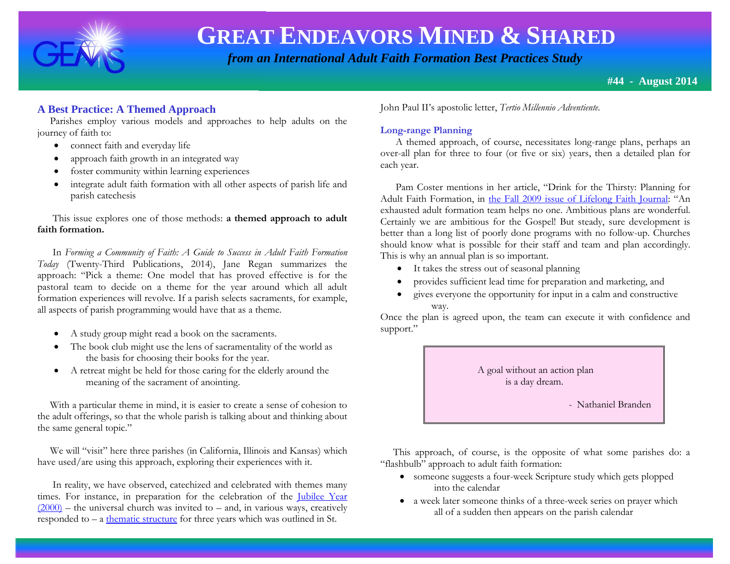

 *from an International Adult Faith Formation Best Practices Study*

# **A Best Practice: A Themed Approach**

 Parishes employ various models and approaches to help adults on the journey of faith to:

- connect faith and everyday life
- approach faith growth in an integrated way
- foster community within learning experiences
- integrate adult faith formation with all other aspects of parish life and parish catechesis

 This issue explores one of those methods: **a themed approach to adult faith formation.**

 In *Forming a Community of Faith: A Guide to Success in Adult Faith Formation Today* (Twenty-Third Publications, 2014), Jane Regan summarizes the approach: "Pick a theme: One model that has proved effective is for the pastoral team to decide on a theme for the year around which all adult formation experiences will revolve. If a parish selects sacraments, for example, all aspects of parish programming would have that as a theme.

- A study group might read a book on the sacraments.
- The book club might use the lens of sacramentality of the world as the basis for choosing their books for the year.
- A retreat might be held for those caring for the elderly around the meaning of the sacrament of anointing.

 With a particular theme in mind, it is easier to create a sense of cohesion to the adult offerings, so that the whole parish is talking about and thinking about the same general topic."

 We will "visit" here three parishes (in California, Illinois and Kansas) which have used/are using this approach, exploring their experiences with it.

 In reality, we have observed, catechized and celebrated with themes many times. For instance, in preparation for the celebration of the [Jubilee Year](http://www.vatican.va/jubilee_2000/index.htm)   $(2000)$  – the universal church was invited to – and, in various ways, creatively responded to  $-$  a [thematic structure](http://www.vatican.va/jubilee_2000/calendar/documents/ju_calendar-of-events_24-feb-1997_themes_en.html) for three years which was outlined in St.

John Paul II's apostolic letter, *Tertio Millennio Adventiente.*

# **Long-range Planning**

 A themed approach, of course, necessitates long-range plans, perhaps an over-all plan for three to four (or five or six) years, then a detailed plan for each year.

 Pam Coster mentions in her article, "Drink for the Thirsty: Planning for Adult Faith Formation, in [the Fall 2009 issue of Lifelong Faith Journal](http://www.lifelongfaith.com/uploads/5/1/6/4/5164069/lifelong_faith_journal_3.3.pdf): "An exhausted adult formation team helps no one. Ambitious plans are wonderful. Certainly we are ambitious for the Gospel! But steady, sure development is better than a long list of poorly done programs with no follow-up. Churches should know what is possible for their staff and team and plan accordingly. This is why an annual plan is so important.

- It takes the stress out of seasonal planning
- provides sufficient lead time for preparation and marketing, and
- gives everyone the opportunity for input in a calm and constructive way.

Once the plan is agreed upon, the team can execute it with confidence and support."



 This approach, of course, is the opposite of what some parishes do: a "flashbulb" approach to adult faith formation:

- someone suggests a four-week Scripture study which gets plopped into the calendar
- a week later someone thinks of a three-week series on prayer which all of a sudden then appears on the parish calendar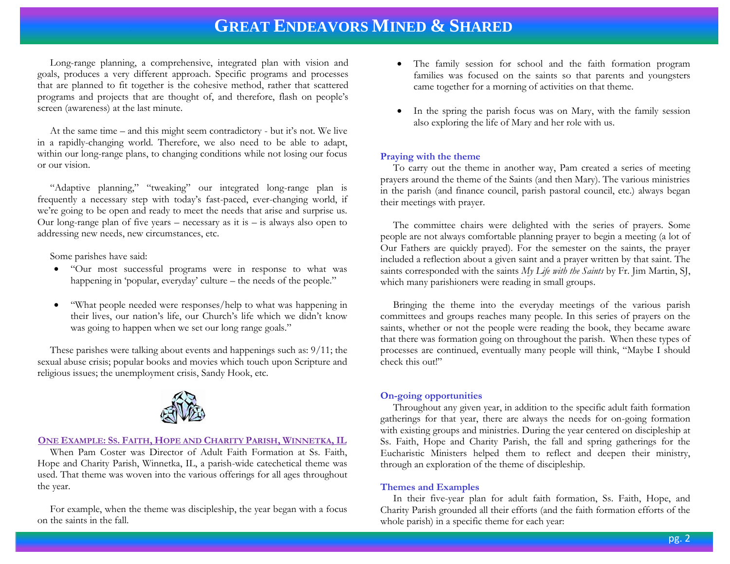Long-range planning, a comprehensive, integrated plan with vision and goals, produces a very different approach. Specific programs and processes that are planned to fit together is the cohesive method, rather that scattered programs and projects that are thought of, and therefore, flash on people's screen (awareness) at the last minute.

 At the same time – and this might seem contradictory - but it's not. We live in a rapidly-changing world. Therefore, we also need to be able to adapt, within our long-range plans, to changing conditions while not losing our focus or our vision.

 "Adaptive planning," "tweaking" our integrated long-range plan is frequently a necessary step with today's fast-paced, ever-changing world, if we're going to be open and ready to meet the needs that arise and surprise us. Our long-range plan of five years – necessary as it is – is always also open to addressing new needs, new circumstances, etc.

Some parishes have said:

- "Our most successful programs were in response to what was happening in 'popular, everyday' culture – the needs of the people."
- "What people needed were responses/help to what was happening in their lives, our nation's life, our Church's life which we didn't know was going to happen when we set our long range goals."

 These parishes were talking about events and happenings such as: 9/11; the sexual abuse crisis; popular books and movies which touch upon Scripture and religious issues; the unemployment crisis, Sandy Hook, etc.



#### **ONE EXAMPLE: SS. FAITH, HOPE AND CHARITY PARISH, WINNETKA, IL**

 When Pam Coster was Director of Adult Faith Formation at Ss. Faith, Hope and Charity Parish, Winnetka, IL, a parish-wide catechetical theme was used. That theme was woven into the various offerings for all ages throughout the year.

 For example, when the theme was discipleship, the year began with a focus on the saints in the fall.

- The family session for school and the faith formation program families was focused on the saints so that parents and youngsters came together for a morning of activities on that theme.
- In the spring the parish focus was on Mary, with the family session also exploring the life of Mary and her role with us.

#### **Praying with the theme**

 To carry out the theme in another way, Pam created a series of meeting prayers around the theme of the Saints (and then Mary). The various ministries in the parish (and finance council, parish pastoral council, etc.) always began their meetings with prayer.

 The committee chairs were delighted with the series of prayers. Some people are not always comfortable planning prayer to begin a meeting (a lot of Our Fathers are quickly prayed). For the semester on the saints, the prayer included a reflection about a given saint and a prayer written by that saint. The saints corresponded with the saints *My Life with the Saints* by Fr. Jim Martin, SJ, which many parishioners were reading in small groups.

 Bringing the theme into the everyday meetings of the various parish committees and groups reaches many people. In this series of prayers on the saints, whether or not the people were reading the book, they became aware that there was formation going on throughout the parish. When these types of processes are continued, eventually many people will think, "Maybe I should check this out!"

#### **On-going opportunities**

 Throughout any given year, in addition to the specific adult faith formation gatherings for that year, there are always the needs for on-going formation with existing groups and ministries. During the year centered on discipleship at Ss. Faith, Hope and Charity Parish, the fall and spring gatherings for the Eucharistic Ministers helped them to reflect and deepen their ministry, through an exploration of the theme of discipleship.

#### **Themes and Examples**

 In their five-year plan for adult faith formation, Ss. Faith, Hope, and Charity Parish grounded all their efforts (and the faith formation efforts of the whole parish) in a specific theme for each year: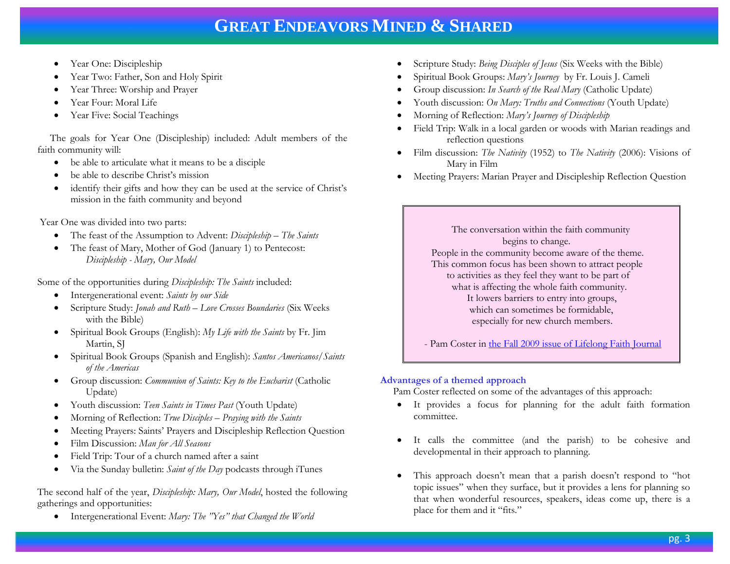- Year One: Discipleship
- Year Two: Father, Son and Holy Spirit
- Year Three: Worship and Prayer
- Year Four: Moral Life
- Year Five: Social Teachings

 The goals for Year One (Discipleship) included: Adult members of the faith community will:

- be able to articulate what it means to be a disciple
- be able to describe Christ's mission
- identify their gifts and how they can be used at the service of Christ's mission in the faith community and beyond

Year One was divided into two parts:

- The feast of the Assumption to Advent: *Discipleship – The Saints*
- The feast of Mary, Mother of God (January 1) to Pentecost: *Discipleship - Mary, Our Model*

Some of the opportunities during *Discipleship: The Saints* included:

- Intergenerational event: *Saints by our Side*
- Scripture Study: *Jonah and Ruth – Love Crosses Boundaries* (Six Weeks with the Bible)
- Spiritual Book Groups (English): *My Life with the Saints* by Fr. Jim Martin, SJ
- Spiritual Book Groups (Spanish and English): *Santos Americanos/Saints of the Americas*
- Group discussion: *Communion of Saints: Key to the Eucharist* (Catholic Update)
- Youth discussion: *Teen Saints in Times Past* (Youth Update)
- Morning of Reflection: *True Disciples – Praying with the Saints*
- Meeting Prayers: Saints' Prayers and Discipleship Reflection Question
- Film Discussion: *Man for All Seasons*
- Field Trip: Tour of a church named after a saint
- Via the Sunday bulletin: *Saint of the Day* podcasts through iTunes

The second half of the year, *Discipleship: Mary, Our Model*, hosted the following gatherings and opportunities:

Intergenerational Event: *Mary: The "Yes" that Changed the World*

- Scripture Study: *Being Disciples of Jesus* (Six Weeks with the Bible)
- Spiritual Book Groups: *Mary's Journey* by Fr. Louis J. Cameli
- Group discussion: *In Search of the Real Mary* (Catholic Update)
- Youth discussion: *On Mary: Truths and Connections* (Youth Update)
- Morning of Reflection: *Mary's Journey of Discipleship*
- Field Trip: Walk in a local garden or woods with Marian readings and reflection questions
- Film discussion: *The Nativity* (1952) to *The Nativity* (2006): Visions of Mary in Film
- Meeting Prayers: Marian Prayer and Discipleship Reflection Question

 The conversation within the faith community begins to change. People in the community become aware of the theme. This common focus has been shown to attract people to activities as they feel they want to be part of what is affecting the whole faith community. It lowers barriers to entry into groups, which can sometimes be formidable, especially for new church members.

- Pam Coster in [the Fall 2009 issue of Lifelong Faith Journal](http://www.lifelongfaith.com/uploads/5/1/6/4/5164069/lifelong_faith_journal_3.3.pdf)

### **Advantages of a themed approach**

Pam Coster reflected on some of the advantages of this approach:

- It provides a focus for planning for the adult faith formation committee.
- It calls the committee (and the parish) to be cohesive and developmental in their approach to planning.
- This approach doesn't mean that a parish doesn't respond to "hot topic issues" when they surface, but it provides a lens for planning so that when wonderful resources, speakers, ideas come up, there is a place for them and it "fits."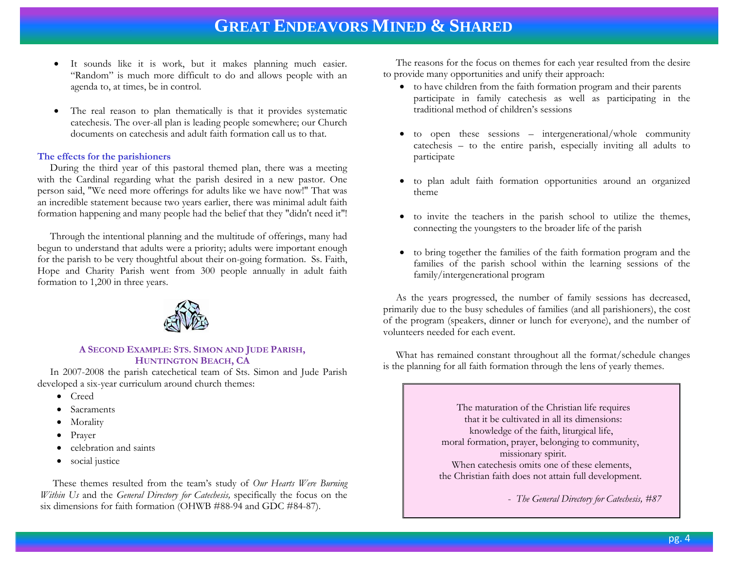- It sounds like it is work, but it makes planning much easier. "Random" is much more difficult to do and allows people with an agenda to, at times, be in control.
- The real reason to plan thematically is that it provides systematic catechesis. The over-all plan is leading people somewhere; our Church documents on catechesis and adult faith formation call us to that.

#### **The effects for the parishioners**

 During the third year of this pastoral themed plan, there was a meeting with the Cardinal regarding what the parish desired in a new pastor. One person said, "We need more offerings for adults like we have now!" That was an incredible statement because two years earlier, there was minimal adult faith formation happening and many people had the belief that they "didn't need it"!

 Through the intentional planning and the multitude of offerings, many had begun to understand that adults were a priority; adults were important enough for the parish to be very thoughtful about their on-going formation. Ss. Faith, Hope and Charity Parish went from 300 people annually in adult faith formation to 1,200 in three years.



#### **A SECOND EXAMPLE: STS. SIMON AND JUDE PARISH, HUNTINGTON BEACH, CA**

 In 2007-2008 the parish catechetical team of Sts. Simon and Jude Parish developed a six-year curriculum around church themes:

- Creed
- Sacraments
- Morality
- Prayer
- celebration and saints
- social justice

 These themes resulted from the team's study of *Our Hearts Were Burning Within Us* and the *General Directory for Catechesis,* specifically the focus on the six dimensions for faith formation (OHWB #88-94 and GDC #84-87).

 The reasons for the focus on themes for each year resulted from the desire to provide many opportunities and unify their approach:

- to have children from the faith formation program and their parents participate in family catechesis as well as participating in the traditional method of children's sessions
- to open these sessions intergenerational/whole community catechesis – to the entire parish, especially inviting all adults to participate
- to plan adult faith formation opportunities around an organized theme
- to invite the teachers in the parish school to utilize the themes, connecting the youngsters to the broader life of the parish
- to bring together the families of the faith formation program and the families of the parish school within the learning sessions of the family/intergenerational program

 As the years progressed, the number of family sessions has decreased, primarily due to the busy schedules of families (and all parishioners), the cost of the program (speakers, dinner or lunch for everyone), and the number of volunteers needed for each event.

 What has remained constant throughout all the format/schedule changes is the planning for all faith formation through the lens of yearly themes.

> The maturation of the Christian life requires that it be cultivated in all its dimensions: knowledge of the faith, liturgical life, moral formation, prayer, belonging to community, missionary spirit. When catechesis omits one of these elements, the Christian faith does not attain full development.

> > - *The General Directory for Catechesis, #87*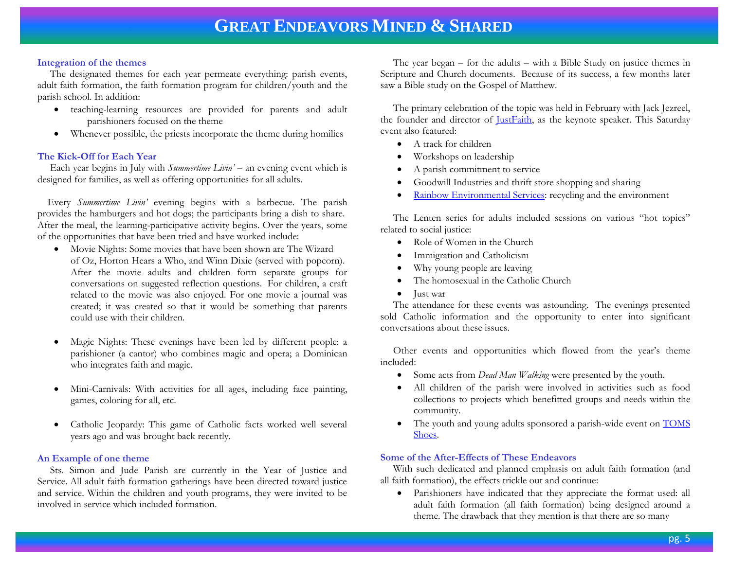#### **Integration of the themes**

 The designated themes for each year permeate everything: parish events, adult faith formation, the faith formation program for children/youth and the parish school. In addition:

- teaching-learning resources are provided for parents and adult parishioners focused on the theme
- Whenever possible, the priests incorporate the theme during homilies

# **The Kick-Off for Each Year**

 Each year begins in July with *Summertime Livin'* – an evening event which is designed for families, as well as offering opportunities for all adults.

 Every *Summertime Livin'* evening begins with a barbecue. The parish provides the hamburgers and hot dogs; the participants bring a dish to share. After the meal, the learning-participative activity begins. Over the years, some of the opportunities that have been tried and have worked include:

- Movie Nights: Some movies that have been shown are The Wizard of Oz, Horton Hears a Who, and Winn Dixie (served with popcorn). After the movie adults and children form separate groups for conversations on suggested reflection questions. For children, a craft related to the movie was also enjoyed. For one movie a journal was created; it was created so that it would be something that parents could use with their children.
- Magic Nights: These evenings have been led by different people: a parishioner (a cantor) who combines magic and opera; a Dominican who integrates faith and magic.
- Mini-Carnivals: With activities for all ages, including face painting, games, coloring for all, etc.
- Catholic Jeopardy: This game of Catholic facts worked well several years ago and was brought back recently.

### **An Example of one theme**

 Sts. Simon and Jude Parish are currently in the Year of Justice and Service. All adult faith formation gatherings have been directed toward justice and service. Within the children and youth programs, they were invited to be involved in service which included formation.

 The year began – for the adults – with a Bible Study on justice themes in Scripture and Church documents. Because of its success, a few months later saw a Bible study on the Gospel of Matthew.

 The primary celebration of the topic was held in February with Jack Jezreel, the founder and director of *JustFaith*, as the keynote speaker. This Saturday event also featured:

- A track for children
- Workshops on leadership
- A parish commitment to service
- Goodwill Industries and thrift store shopping and sharing
- [Rainbow Environmental Services:](http://rainbowes.com/) recycling and the environment

 The Lenten series for adults included sessions on various "hot topics" related to social justice:

- Role of Women in the Church
- Immigration and Catholicism
- Why young people are leaving
- The homosexual in the Catholic Church
- Just war

 The attendance for these events was astounding. The evenings presented sold Catholic information and the opportunity to enter into significant conversations about these issues.

 Other events and opportunities which flowed from the year's theme included:

- Some acts from *Dead Man Walking* were presented by the youth.
- All children of the parish were involved in activities such as food collections to projects which benefitted groups and needs within the community.
- The youth and young adults sponsored a parish-wide event on **TOMS** [Shoes.](http://www.tomscommunity.com/)

# **Some of the After-Effects of These Endeavors**

 With such dedicated and planned emphasis on adult faith formation (and all faith formation), the effects trickle out and continue:

 Parishioners have indicated that they appreciate the format used: all adult faith formation (all faith formation) being designed around a theme. The drawback that they mention is that there are so many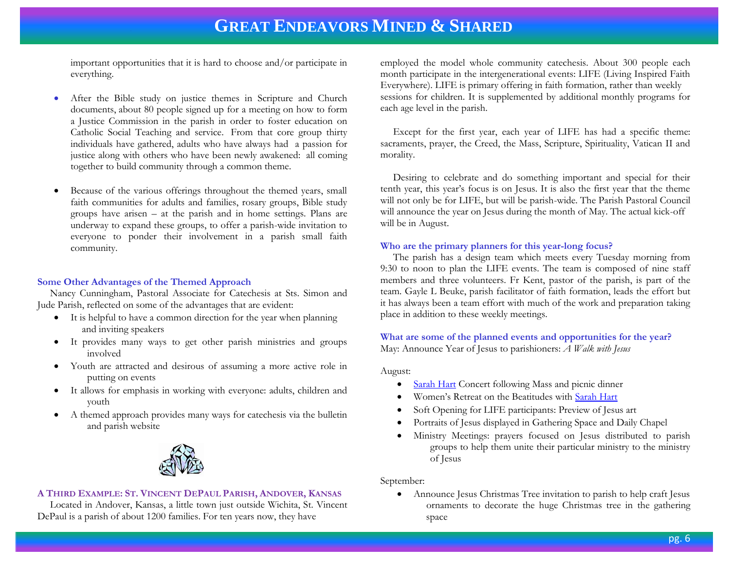important opportunities that it is hard to choose and/or participate in everything.

- After the Bible study on justice themes in Scripture and Church documents, about 80 people signed up for a meeting on how to form a Justice Commission in the parish in order to foster education on Catholic Social Teaching and service. From that core group thirty individuals have gathered, adults who have always had a passion for justice along with others who have been newly awakened: all coming together to build community through a common theme.
- Because of the various offerings throughout the themed years, small faith communities for adults and families, rosary groups, Bible study groups have arisen – at the parish and in home settings. Plans are underway to expand these groups, to offer a parish-wide invitation to everyone to ponder their involvement in a parish small faith community.

#### **Some Other Advantages of the Themed Approach**

 Nancy Cunningham, Pastoral Associate for Catechesis at Sts. Simon and Jude Parish, reflected on some of the advantages that are evident:

- It is helpful to have a common direction for the year when planning and inviting speakers
- It provides many ways to get other parish ministries and groups involved
- Youth are attracted and desirous of assuming a more active role in putting on events
- It allows for emphasis in working with everyone: adults, children and youth
- A themed approach provides many ways for catechesis via the bulletin and parish website



#### **A THIRD EXAMPLE: ST. VINCENT DEPAUL PARISH, ANDOVER, KANSAS**

 Located in Andover, Kansas, a little town just outside Wichita, St. Vincent DePaul is a parish of about 1200 families. For ten years now, they have

employed the model whole community catechesis. About 300 people each month participate in the intergenerational events: LIFE (Living Inspired Faith Everywhere). LIFE is primary offering in faith formation, rather than weekly sessions for children. It is supplemented by additional monthly programs for each age level in the parish.

 Except for the first year, each year of LIFE has had a specific theme: sacraments, prayer, the Creed, the Mass, Scripture, Spirituality, Vatican II and morality.

 Desiring to celebrate and do something important and special for their tenth year, this year's focus is on Jesus. It is also the first year that the theme will not only be for LIFE, but will be parish-wide. The Parish Pastoral Council will announce the year on Jesus during the month of May. The actual kick-off will be in August.

#### **Who are the primary planners for this year-long focus?**

 The parish has a design team which meets every Tuesday morning from 9:30 to noon to plan the LIFE events. The team is composed of nine staff members and three volunteers. Fr Kent, pastor of the parish, is part of the team. Gayle L Beuke, parish facilitator of faith formation, leads the effort but it has always been a team effort with much of the work and preparation taking place in addition to these weekly meetings.

**What are some of the planned events and opportunities for the year?** May: Announce Year of Jesus to parishioners: *A Walk with Jesus*

August:

- [Sarah Hart](http://www.sarahhart.com/) Concert following Mass and picnic dinner
- Women's Retreat on the Beatitudes with [Sarah Hart](http://www.sarahhart.com/)
- Soft Opening for LIFE participants: Preview of Jesus art
- Portraits of Jesus displayed in Gathering Space and Daily Chapel
- Ministry Meetings: prayers focused on Jesus distributed to parish groups to help them unite their particular ministry to the ministry of Jesus

September:

 Announce Jesus Christmas Tree invitation to parish to help craft Jesus ornaments to decorate the huge Christmas tree in the gathering space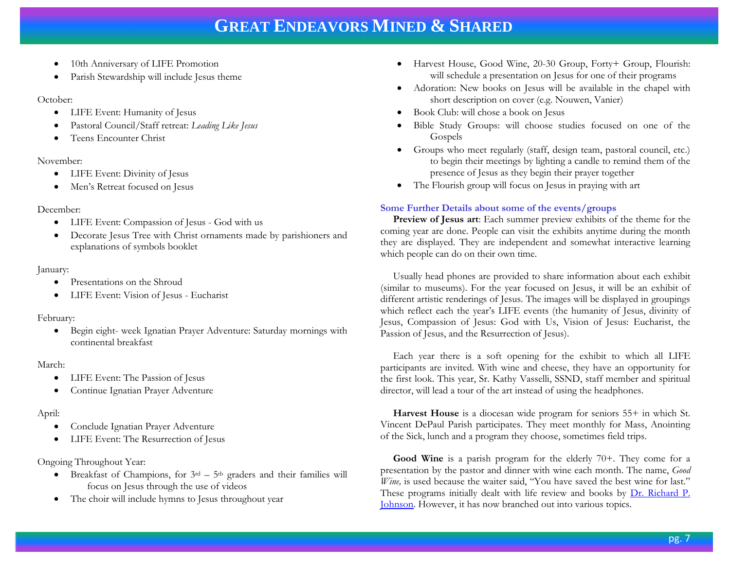- 10th Anniversary of LIFE Promotion
- Parish Stewardship will include Jesus theme

### October:

- LIFE Event: Humanity of Jesus
- Pastoral Council/Staff retreat: *Leading Like Jesus*
- Teens Encounter Christ

# November:

- LIFE Event: Divinity of Jesus
- Men's Retreat focused on Jesus

# December:

- LIFE Event: Compassion of Jesus God with us
- Decorate Jesus Tree with Christ ornaments made by parishioners and explanations of symbols booklet

# January:

- Presentations on the Shroud
- LIFE Event: Vision of Jesus Eucharist

### February:

 Begin eight- week Ignatian Prayer Adventure: Saturday mornings with continental breakfast

# March:

- LIFE Event: The Passion of Jesus
- Continue Ignatian Prayer Adventure

# April:

- Conclude Ignatian Prayer Adventure
- LIFE Event: The Resurrection of Jesus

# Ongoing Throughout Year:

- $\bullet$  Breakfast of Champions, for  $3^{rd} 5^{th}$  graders and their families will focus on Jesus through the use of videos
- The choir will include hymns to Jesus throughout year
- Harvest House, Good Wine, 20-30 Group, Forty+ Group, Flourish: will schedule a presentation on Jesus for one of their programs
- Adoration: New books on Jesus will be available in the chapel with short description on cover (e.g. Nouwen, Vanier)
- Book Club: will chose a book on Jesus
- Bible Study Groups: will choose studies focused on one of the Gospels
- Groups who meet regularly (staff, design team, pastoral council, etc.) to begin their meetings by lighting a candle to remind them of the presence of Jesus as they begin their prayer together
- The Flourish group will focus on Jesus in praying with art

# **Some Further Details about some of the events/groups**

 **Preview of Jesus art**: Each summer preview exhibits of the theme for the coming year are done. People can visit the exhibits anytime during the month they are displayed. They are independent and somewhat interactive learning which people can do on their own time.

 Usually head phones are provided to share information about each exhibit (similar to museums). For the year focused on Jesus, it will be an exhibit of different artistic renderings of Jesus. The images will be displayed in groupings which reflect each the year's LIFE events (the humanity of Jesus, divinity of Jesus, Compassion of Jesus: God with Us, Vision of Jesus: Eucharist, the Passion of Jesus, and the Resurrection of Jesus).

 Each year there is a soft opening for the exhibit to which all LIFE participants are invited. With wine and cheese, they have an opportunity for the first look. This year, Sr. Kathy Vasselli, SSND, staff member and spiritual director, will lead a tour of the art instead of using the headphones.

 **Harvest House** is a diocesan wide program for seniors 55+ in which St. Vincent DePaul Parish participates. They meet monthly for Mass, Anointing of the Sick, lunch and a program they choose, sometimes field trips.

Good Wine is a parish program for the elderly 70+. They come for a presentation by the pastor and dinner with wine each month. The name, *Good Wine*, is used because the waiter said, "You have saved the best wine for last." These programs initially dealt with life review and books by [Dr. Richard P.](http://www.senioradultministry.com/category.aspx?categoryID=9)  [Johnson.](http://www.senioradultministry.com/category.aspx?categoryID=9) However, it has now branched out into various topics.